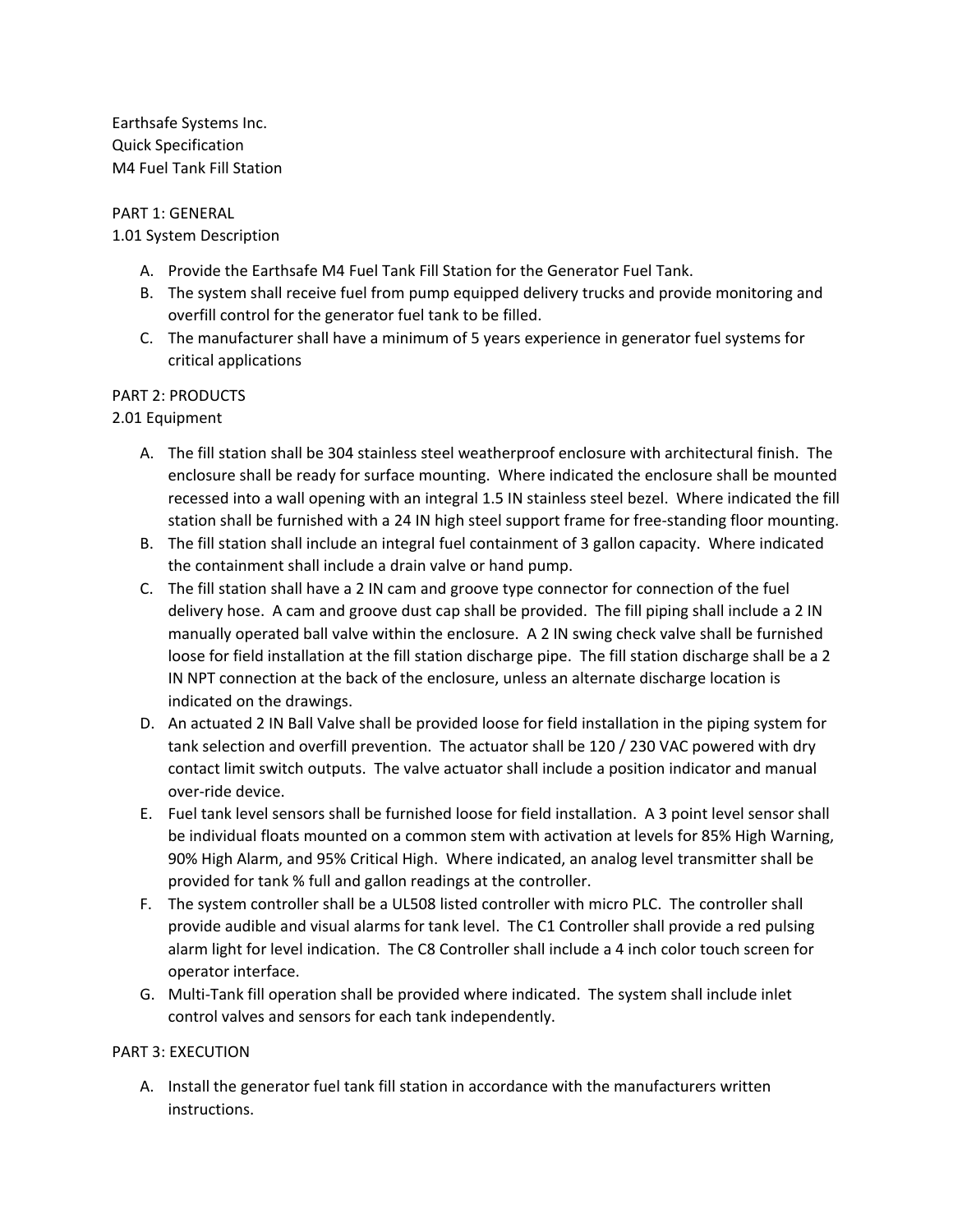Earthsafe Systems Inc. Quick Specification M4 Fuel Tank Fill Station

PART 1: GENERAL

1.01 System Description

- A. Provide the Earthsafe M4 Fuel Tank Fill Station for the Generator Fuel Tank.
- B. The system shall receive fuel from pump equipped delivery trucks and provide monitoring and overfill control for the generator fuel tank to be filled.
- C. The manufacturer shall have a minimum of 5 years experience in generator fuel systems for critical applications

## PART 2: PRODUCTS

2.01 Equipment

- A. The fill station shall be 304 stainless steel weatherproof enclosure with architectural finish. The enclosure shall be ready for surface mounting. Where indicated the enclosure shall be mounted recessed into a wall opening with an integral 1.5 IN stainless steel bezel. Where indicated the fill station shall be furnished with a 24 IN high steel support frame for free‐standing floor mounting.
- B. The fill station shall include an integral fuel containment of 3 gallon capacity. Where indicated the containment shall include a drain valve or hand pump.
- C. The fill station shall have a 2 IN cam and groove type connector for connection of the fuel delivery hose. A cam and groove dust cap shall be provided. The fill piping shall include a 2 IN manually operated ball valve within the enclosure. A 2 IN swing check valve shall be furnished loose for field installation at the fill station discharge pipe. The fill station discharge shall be a 2 IN NPT connection at the back of the enclosure, unless an alternate discharge location is indicated on the drawings.
- D. An actuated 2 IN Ball Valve shall be provided loose for field installation in the piping system for tank selection and overfill prevention. The actuator shall be 120 / 230 VAC powered with dry contact limit switch outputs. The valve actuator shall include a position indicator and manual over‐ride device.
- E. Fuel tank level sensors shall be furnished loose for field installation. A 3 point level sensor shall be individual floats mounted on a common stem with activation at levels for 85% High Warning, 90% High Alarm, and 95% Critical High. Where indicated, an analog level transmitter shall be provided for tank % full and gallon readings at the controller.
- F. The system controller shall be a UL508 listed controller with micro PLC. The controller shall provide audible and visual alarms for tank level. The C1 Controller shall provide a red pulsing alarm light for level indication. The C8 Controller shall include a 4 inch color touch screen for operator interface.
- G. Multi‐Tank fill operation shall be provided where indicated. The system shall include inlet control valves and sensors for each tank independently.

## PART 3: EXECUTION

A. Install the generator fuel tank fill station in accordance with the manufacturers written instructions.